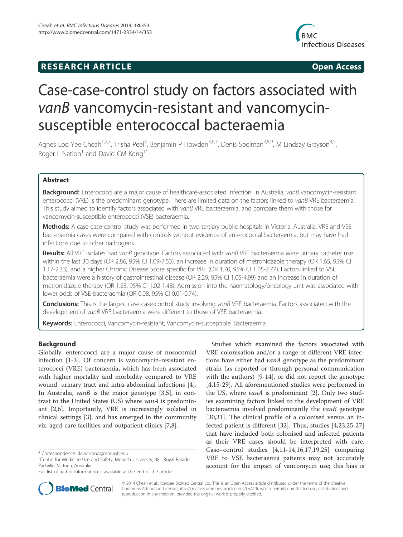# **RESEARCH ARTICLE Example 2014 CONSIDERING CONSIDERING CONSIDERING CONSIDERING CONSIDERING CONSIDERING CONSIDERING CONSIDERING CONSIDERING CONSIDERING CONSIDERING CONSIDERING CONSIDERING CONSIDERING CONSIDERING CONSIDE**



# Case-case-control study on factors associated with vanB vancomycin-resistant and vancomycinsusceptible enterococcal bacteraemia

Agnes Loo Yee Cheah<sup>1,2,3</sup>, Trisha Peel<sup>4</sup>, Benjamin P Howden<sup>3,6,7</sup>, Denis Spelman<sup>2,8,9</sup>, M Lindsay Grayson<sup>3,5</sup>, Roger L Nation<sup>1</sup> and David CM Kong<sup>1</sup><sup>\*</sup>

# Abstract

Background: Enterococci are a major cause of healthcare-associated infection. In Australia, vanB vancomycin-resistant enterococci (VRE) is the predominant genotype. There are limited data on the factors linked to vanB VRE bacteraemia. This study aimed to identify factors associated with vanB VRE bacteraemia, and compare them with those for vancomycin-susceptible enterococci (VSE) bacteraemia.

Methods: A case-case-control study was performed in two tertiary public hospitals in Victoria, Australia. VRE and VSE bacteraemia cases were compared with controls without evidence of enterococcal bacteraemia, but may have had infections due to other pathogens.

Results: All VRE isolates had vanB genotype. Factors associated with vanB VRE bacteraemia were urinary catheter use within the last 30 days (OR 2.86, 95% CI 1.09-7.53), an increase in duration of metronidazole therapy (OR 1.65, 95% CI 1.17-2.33), and a higher Chronic Disease Score specific for VRE (OR 1.70, 95% CI 1.05-2.77). Factors linked to VSE bacteraemia were a history of gastrointestinal disease (OR 2.29, 95% CI 1.05-4.99) and an increase in duration of metronidazole therapy (OR 1.23, 95% CI 1.02-1.48). Admission into the haematology/oncology unit was associated with lower odds of VSE bacteraemia (OR 0.08, 95% CI 0.01-0.74).

Conclusions: This is the largest case-case-control study involving vanB VRE bacteraemia. Factors associated with the development of vanB VRE bacteraemia were different to those of VSE bacteraemia.

Keywords: Enterococci, Vancomycin-resistant, Vancomycin-susceptible, Bacteraemia

## Background

Globally, enterococci are a major cause of nosocomial infection [1-3]. Of concern is vancomycin-resistant enterococci (VRE) bacteraemia, which has been associated with higher mortality and morbidity compared to VRE wound, urinary tract and intra-abdominal infections [4]. In Australia, *vanB* is the major genotype [3,5], in contrast to the United States (US) where vanA is predominant [2,6]. Importantly, VRE is increasingly isolated in clinical settings [3], and has emerged in the community viz. aged-care facilities and outpatient clinics [7,8].

Studies which examined the factors associated with VRE colonisation and/or a range of different VRE infections have either had *vanA* genotype as the predominant strain (as reported or through personal communication with the authors) [9-14], or did not report the genotype [4,15-29]. All aforementioned studies were performed in the US, where *vanA* is predominant [2]. Only two studies examining factors linked to the development of VRE bacteraemia involved predominantly the vanB genotype [30,31]. The clinical profile of a colonised versus an infected patient is different [32]. Thus, studies [4,23,25-27] that have included both colonised and infected patients as their VRE cases should be interpreted with care. Case–control studies [4,11-14,16,17,19,25] comparing VRE to VSE bacteraemia patients may not accurately account for the impact of vancomycin use; this bias is



© 2014 Cheah et al.; licensee BioMed Central Ltd. This is an Open Access article distributed under the terms of the Creative Commons Attribution License (http://creativecommons.org/licenses/by/2.0), which permits unrestricted use, distribution, and reproduction in any medium, provided the original work is properly credited.

<sup>\*</sup> Correspondence: david.kong@monash.edu <sup>1</sup>

<sup>&</sup>lt;sup>1</sup> Centre for Medicine Use and Safety, Monash University, 381 Royal Parade, Parkville, Victoria, Australia

Full list of author information is available at the end of the article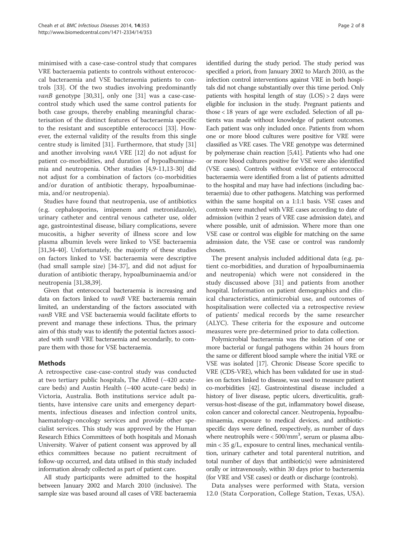minimised with a case-case-control study that compares VRE bacteraemia patients to controls without enterococcal bacteraemia and VSE bacteraemia patients to controls [33]. Of the two studies involving predominantly vanB genotype [30,31], only one [31] was a case-casecontrol study which used the same control patients for both case groups, thereby enabling meaningful characterisation of the distinct features of bacteraemia specific to the resistant and susceptible enterococci [33]. However, the external validity of the results from this single centre study is limited [31]. Furthermore, that study [31] and another involving vanA VRE [12] do not adjust for patient co-morbidities, and duration of hypoalbuminaemia and neutropenia. Other studies [4,9-11,13-30] did not adjust for a combination of factors (co-morbidities and/or duration of antibiotic therapy, hypoalbuminaemia, and/or neutropenia).

Studies have found that neutropenia, use of antibiotics (e.g. cephalosporins, imipenem and metronidazole), urinary catheter and central venous catheter use, older age, gastrointestinal disease, biliary complications, severe mucositis, a higher severity of illness score and low plasma albumin levels were linked to VSE bacteraemia [31,34-40]. Unfortunately, the majority of these studies on factors linked to VSE bacteraemia were descriptive (had small sample size) [34-37], and did not adjust for duration of antibiotic therapy, hypoalbuminaemia and/or neutropenia [31,38,39].

Given that enterococcal bacteraemia is increasing and data on factors linked to vanB VRE bacteraemia remain limited, an understanding of the factors associated with vanB VRE and VSE bacteraemia would facilitate efforts to prevent and manage these infections. Thus, the primary aim of this study was to identify the potential factors associated with vanB VRE bacteraemia and secondarily, to compare them with those for VSE bacteraemia.

# Methods

A retrospective case-case-control study was conducted at two tertiary public hospitals, The Alfred  $(\sim 420$  acutecare beds) and Austin Health  $(\sim 400$  acute-care beds) in Victoria, Australia. Both institutions service adult patients, have intensive care units and emergency departments, infectious diseases and infection control units, haematology-oncology services and provide other specialist services. This study was approved by the Human Research Ethics Committees of both hospitals and Monash University. Waiver of patient consent was approved by all ethics committees because no patient recruitment of follow-up occurred, and data utilised in this study included information already collected as part of patient care.

All study participants were admitted to the hospital between January 2002 and March 2010 (inclusive). The sample size was based around all cases of VRE bacteraemia

identified during the study period. The study period was specified a priori, from January 2002 to March 2010, as the infection control interventions against VRE in both hospitals did not change substantially over this time period. Only patients with hospital length of stay (LOS) > 2 days were eligible for inclusion in the study. Pregnant patients and those < 18 years of age were excluded. Selection of all patients was made without knowledge of patient outcomes. Each patient was only included once. Patients from whom one or more blood cultures were positive for VRE were classified as VRE cases. The VRE genotype was determined by polymerase chain reaction [5,41]. Patients who had one or more blood cultures positive for VSE were also identified (VSE cases). Controls without evidence of enterococcal bacteraemia were identified from a list of patients admitted to the hospital and may have had infections (including bacteraemia) due to other pathogens. Matching was performed within the same hospital on a 1:1:1 basis. VSE cases and controls were matched with VRE cases according to date of admission (within 2 years of VRE case admission date), and where possible, unit of admission. Where more than one VSE case or control was eligible for matching on the same admission date, the VSE case or control was randomly chosen.

The present analysis included additional data (e.g. patient co-morbidities, and duration of hypoalbuminaemia and neutropenia) which were not considered in the study discussed above [31] and patients from another hospital. Information on patient demographics and clinical characteristics, antimicrobial use, and outcomes of hospitalisation were collected via a retrospective review of patients' medical records by the same researcher (ALYC). These criteria for the exposure and outcome measures were pre-determined prior to data collection.

Polymicrobial bacteraemia was the isolation of one or more bacterial or fungal pathogens within 24 hours from the same or different blood sample where the initial VRE or VSE was isolated [17]. Chronic Disease Score specific to VRE (CDS-VRE), which has been validated for use in studies on factors linked to disease, was used to measure patient co-morbidities [42]. Gastrointestinal disease included a history of liver disease, peptic ulcers, diverticulitis, graftversus-host-disease of the gut, inflammatory bowel disease, colon cancer and colorectal cancer. Neutropenia, hypoalbuminaemia, exposure to medical devices, and antibioticspecific days were defined, respectively, as number of days where neutrophils were < 500/mm<sup>3</sup>, serum or plasma albumin < 35 g/L, exposure to central lines, mechanical ventilation, urinary catheter and total parenteral nutrition, and total number of days that antibiotic(s) were administered orally or intravenously, within 30 days prior to bacteraemia (for VRE and VSE cases) or death or discharge (controls).

Data analyses were performed with Stata, version 12.0 (Stata Corporation, College Station, Texas, USA).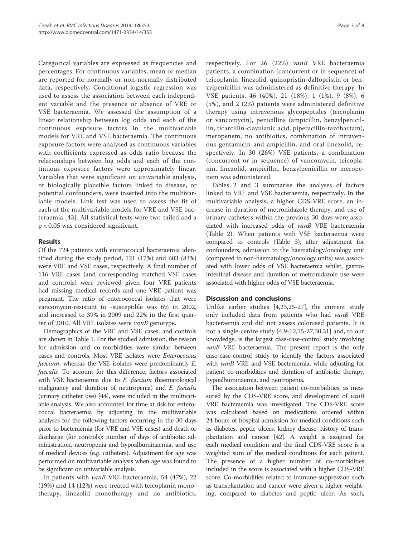Categorical variables are expressed as frequencies and percentages. For continuous variables, mean or median are reported for normally or non-normally distributed data, respectively. Conditional logistic regression was used to assess the association between each independent variable and the presence or absence of VRE or VSE bacteraemia. We assessed the assumption of a linear relationship between log odds and each of the continuous exposure factors in the multivariable models for VRE and VSE bacteraemia. The continuous exposure factors were analysed as continuous variables with coefficients expressed as odds ratio because the relationships between log odds and each of the continuous exposure factors were approximately linear. Variables that were significant on univariable analysis, or biologically plausible factors linked to disease, or potential confounders, were inserted into the multivariable models. Link test was used to assess the fit of each of the multivariable models for VRE and VSE bacteraemia [43]. All statistical tests were two-tailed and a p < 0.05 was considered significant.

# Results

Of the 724 patients with enterococcal bacteraemia identified during the study period, 121 (17%) and 603 (83%) were VRE and VSE cases, respectively. A final number of 116 VRE cases (and corresponding matched VSE cases and controls) were reviewed given four VRE patients had missing medical records and one VRE patient was pregnant. The ratio of enterococcal isolates that were vancomycin-resistant to -susceptible was 6% in 2002, and increased to 39% in 2009 and 22% in the first quarter of 2010. All VRE isolates were vanB genotype.

Demographics of the VRE and VSE cases, and controls are shown in Table 1. For the studied admission, the reason for admission and co-morbidities were similar between cases and controls. Most VRE isolates were Enterococcus faecium, whereas the VSE isolates were predominantly E. faecalis. To account for this difference, factors associated with VSE bacteraemia due to *E. faecium* (haematological malignancy and duration of neutropenia) and E. faecalis (urinary catheter use) [44], were included in the multivariable analysis. We also accounted for time at risk for enterococcal bacteraemia by adjusting in the multivariable analyses for the following factors occurring in the 30 days prior to bacteraemia (for VRE and VSE cases) and death or discharge (for controls): number of days of antibiotic administration, neutropenia and hypoalbuminaemia, and use of medical devices (e.g. catheters). Adjustment for age was performed on multivariable analysis when age was found to be significant on univariable analysis.

In patients with vanB VRE bacteraemia, 54 (47%), 22 (19%) and 14 (12%) were treated with teicoplanin monotherapy, linezolid monotherapy and no antibiotics,

respectively. For 26 (22%) vanB VRE bacteraemia patients, a combination (concurrent or in sequence) of teicoplanin, linezolid, quinupristin-dalfopristin or benzylpenicillin was administered as definitive therapy. In VSE patients, 46 (40%), 21 (18%), 1 (1%), 9 (8%), 6 (5%), and 2 (2%) patients were administered definitive therapy using intravenous glycopeptides (teicoplanin or vancomycin), penicillins (ampicillin, benzylpenicillin, ticarcillin-clavulanic acid, piperacillin-tazobactam), meropenem, no antibiotics, combination of intravenous gentamicin and ampicillin, and oral linezolid, respectively. In 30 (26%) VSE patients, a combination (concurrent or in sequence) of vancomycin, teicoplanin, linezolid, ampicillin, benzylpenicillin or meropenem was administered.

Tables 2 and 3 summarise the analyses of factors linked to VRE and VSE bacteraemia, respectively. In the multivariable analysis, a higher CDS-VRE score, an increase in duration of metronidazole therapy, and use of urinary catheters within the previous 30 days were associated with increased odds of vanB VRE bacteraemia (Table 2). When patients with VSE bacteraemia were compared to controls (Table 3), after adjustment for confounders, admission to the haematology/oncology unit (compared to non-haematology/oncology units) was associated with lower odds of VSE bacteraemia whilst, gastrointestinal disease and duration of metronidazole use were associated with higher odds of VSE bacteraemia.

## Discussion and conclusions

Unlike earlier studies [4,23,25-27], the current study only included data from patients who had vanB VRE bacteraemia and did not assess colonised patients. It is not a single-centre study [4,9-12,15-27,30,31] and, to our knowledge, is the largest case-case-control study involving vanB VRE bacteraemia. The present report is the only case-case-control study to identify the factors associated with *vanB* VRE and VSE bacteraemia, while adjusting for patient co-morbidities and duration of antibiotic therapy, hypoalbuminaemia, and neutropenia.

The association between patient co-morbidities, as measured by the CDS-VRE score, and development of *vanB* VRE bacteraemia was investigated. The CDS-VRE score was calculated based on medications ordered within 24 hours of hospital admission for medical conditions such as diabetes, peptic ulcers, kidney disease, history of transplantation and cancer [42]. A weight is assigned for each medical condition and the final CDS-VRE score is a weighted sum of the medical conditions for each patient. The presence of a higher number of co-morbidities included in the score is associated with a higher CDS-VRE score. Co-morbidities related to immune-suppression such as transplantation and cancer were given a higher weighting, compared to diabetes and peptic ulcer. As such,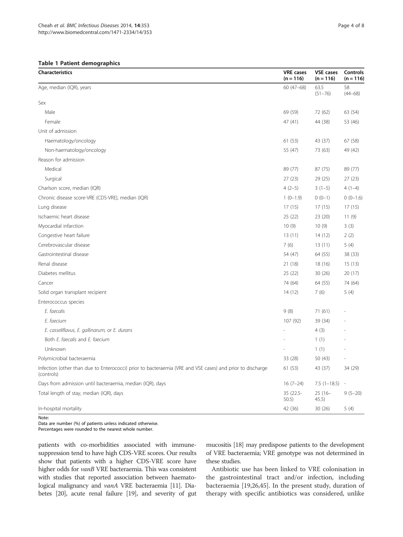Table 1 Patient demographics

| Characteristics                                                                                                         | <b>VRE</b> cases<br>$(n = 116)$ | <b>VSE cases</b><br>$(n = 116)$ | Controls<br>$(n = 116)$ |
|-------------------------------------------------------------------------------------------------------------------------|---------------------------------|---------------------------------|-------------------------|
| Age, median (IQR), years                                                                                                | $60(47-68)$                     | 63.5<br>$(51 - 76)$             | 58<br>$(44 - 68)$       |
| Sex                                                                                                                     |                                 |                                 |                         |
| Male                                                                                                                    | 69 (59)                         | 72 (62)                         | 63 (54)                 |
| Female                                                                                                                  | 47 (41)                         | 44 (38)                         | 53 (46)                 |
| Unit of admission                                                                                                       |                                 |                                 |                         |
| Haematology/oncology                                                                                                    | 61(53)                          | 43 (37)                         | 67(58)                  |
| Non-haematology/oncology                                                                                                | 55 (47)                         | 73 (63)                         | 49 (42)                 |
| Reason for admission                                                                                                    |                                 |                                 |                         |
| Medical                                                                                                                 | 89 (77)                         | 87(75)                          | 89 (77)                 |
| Surgical                                                                                                                | 27(23)                          | 29(25)                          | 27(23)                  |
| Charlson score, median (IQR)                                                                                            | $4(2-5)$                        | $3(1-5)$                        | $4(1-4)$                |
| Chronic disease score-VRE (CDS-VRE), median (IQR)                                                                       | $1(0-1.9)$                      | $0(0-1)$                        | $0(0-1.6)$              |
| Lung disease                                                                                                            | 17(15)                          | 17(15)                          | 17(15)                  |
| Ischaemic heart disease                                                                                                 | 25 (22)                         | 23 (20)                         | 11(9)                   |
| Myocardial infarction                                                                                                   | 10(9)                           | 10(9)                           | 3(3)                    |
| Congestive heart failure                                                                                                | 13(11)                          | 14 (12)                         | 2(2)                    |
| Cerebrovascular disease                                                                                                 | 7(6)                            | 13(11)                          | 5(4)                    |
| Gastrointestinal disease                                                                                                | 54 (47)                         | 64 (55)                         | 38 (33)                 |
| Renal disease                                                                                                           | 21 (18)                         | 18 (16)                         | 15(13)                  |
| Diabetes mellitus                                                                                                       | 25(22)                          | 30(26)                          | 20 (17)                 |
| Cancer                                                                                                                  | 74 (64)                         | 64 (55)                         | 74 (64)                 |
| Solid organ transplant recipient                                                                                        | 14(12)                          | 7(6)                            | 5(4)                    |
| Enterococcus species                                                                                                    |                                 |                                 |                         |
| E. faecalis                                                                                                             | 9(8)                            | 71 (61)                         |                         |
| E. faecium                                                                                                              | 107 (92)                        | 39 (34)                         |                         |
| E. casseliflavus, E. gallinarum, or E. durans                                                                           |                                 | 4(3)                            |                         |
| Both E. faecalis and E. faecium                                                                                         |                                 | 1(1)                            |                         |
| Unknown                                                                                                                 |                                 | 1(1)                            |                         |
| Polymicrobial bacteraemia                                                                                               | 33 (28)                         | 50 (43)                         |                         |
| Infection (other than due to Enterococci) prior to bacteraemia (VRE and VSE cases) and prior to discharge<br>(controls) | 61(53)                          | 43 (37)                         | 34 (29)                 |
| Days from admission until bacteraemia, median (IQR), days                                                               | $16(7-24)$                      | $7.5(1-18.5)$                   |                         |
| Total length of stay, median (IQR), days                                                                                | 35 (22.5-<br>50.5)              | $25(16-$<br>45.5)               | $9(5-20)$               |
| In-hospital mortality                                                                                                   | 42 (36)                         | 30(26)                          | 5(4)                    |

Note:

Data are number (%) of patients unless indicated otherwise.

Percentages were rounded to the nearest whole number.

patients with co-morbidities associated with immunesuppression tend to have high CDS-VRE scores. Our results show that patients with a higher CDS-VRE score have higher odds for vanB VRE bacteraemia. This was consistent with studies that reported association between haematological malignancy and vanA VRE bacteraemia [11]. Diabetes [20], acute renal failure [19], and severity of gut

mucositis [18] may predispose patients to the development of VRE bacteraemia; VRE genotype was not determined in these studies.

Antibiotic use has been linked to VRE colonisation in the gastrointestinal tract and/or infection, including bacteraemia [19,26,45]. In the present study, duration of therapy with specific antibiotics was considered, unlike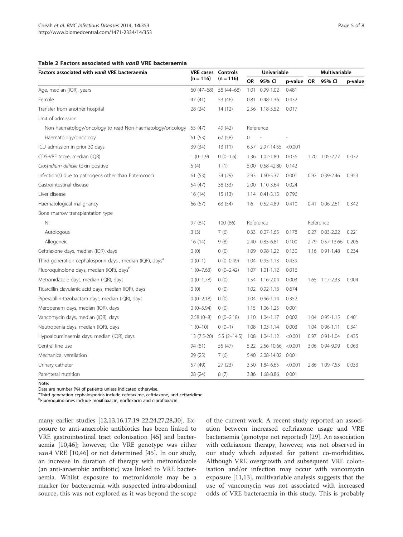#### Table 2 Factors associated with vanB VRE bacteraemia

| Factors associated with vanB VRE bacteraemia                         | <b>VRE</b> cases<br>$(n = 116)$ | Controls<br>$(n = 116)$ | <b>Univariable</b> |                |            | <b>Multivariable</b> |                      |         |  |
|----------------------------------------------------------------------|---------------------------------|-------------------------|--------------------|----------------|------------|----------------------|----------------------|---------|--|
|                                                                      |                                 |                         | OR                 | 95% CI         | p-value OR |                      | 95% CI               | p-value |  |
| Age, median (IQR), years                                             | 60 (47-68)                      | 58 (44-68)              | 1.01               | $0.99 - 1.02$  | 0.481      |                      |                      |         |  |
| Female                                                               | 47 (41)                         | 53 (46)                 | 0.81               | $0.48 - 1.36$  | 0.432      |                      |                      |         |  |
| Transfer from another hospital                                       | 28 (24)                         | 14(12)                  |                    | 2.56 1.18-5.52 | 0.017      |                      |                      |         |  |
| Unit of admission                                                    |                                 |                         |                    |                |            |                      |                      |         |  |
| Non-haematology/oncology to read Non-haematology/oncology            | 55 (47)                         | 49 (42)                 | Reference          |                |            |                      |                      |         |  |
| Haematology/oncology                                                 | 61(53)                          | 67 (58)                 | $\circ$            |                |            |                      |                      |         |  |
| ICU admission in prior 30 days                                       | 39 (34)                         | 13(11)                  | 6.57               | 2.97-14.55     | < 0.001    |                      |                      |         |  |
| CDS-VRE score, median (IQR)                                          | $1(0-1.9)$                      | $0(0-1.6)$              | 1.36               | 1.02-1.80      | 0.036      |                      | 1.70 1.05-2.77       | 0.032   |  |
| Clostridium difficile toxin positive                                 | 5(4)                            | 1(1)                    | 5.00               | 0.58-42.80     | 0.142      |                      |                      |         |  |
| Infection(s) due to pathogens other than Enterococci                 | 61 (53)                         | 34 (29)                 | 2.93               | 1.60-5.37      | 0.001      | 0.97                 | 0.39-2.46            | 0.953   |  |
| Gastrointestinal disease                                             | 54 (47)                         | 38 (33)                 | 2.00               | 1.10-3.64      | 0.024      |                      |                      |         |  |
| Liver disease                                                        | 16(14)                          | 15(13)                  | 1.14               | $0.41 - 3.15$  | 0.796      |                      |                      |         |  |
| Haematological malignancy                                            | 66 (57)                         | 63 (54)                 | 1.6                | $0.52 - 4.89$  | 0.410      |                      | 0.41 0.06-2.61       | 0.342   |  |
| Bone marrow transplantation type                                     |                                 |                         |                    |                |            |                      |                      |         |  |
| Nil                                                                  | 97 (84)                         | 100 (86)                | Reference          |                |            | Reference            |                      |         |  |
| Autologous                                                           | 3(3)                            | 7(6)                    |                    | 0.33 0.07-1.65 | 0.178      |                      | $0.27$ $0.03 - 2.22$ | 0.221   |  |
| Allogeneic                                                           | 16(14)                          | 9(8)                    |                    | 2.40 0.85-6.81 | 0.100      | 2.79                 | 0.57-13.66           | 0.206   |  |
| Ceftriaxone days, median (IQR), days                                 | 0(0)                            | 0(0)                    | 1.09               | 0.98-1.22      | 0.130      |                      | 1.16 0.91-1.48       | 0.234   |  |
| Third generation cephalosporin days, median (IQR), days <sup>a</sup> | $0(0-1)$                        | $0(0-0.49)$             | 1.04               | $0.95 - 1.13$  | 0.439      |                      |                      |         |  |
| Fluoroquinolone days, median (IQR), days <sup>b</sup>                | $1(0-7.63)$                     | $0(0-2.42)$             | 1.07               | $1.01 - 1.12$  | 0.016      |                      |                      |         |  |
| Metronidazole days, median (IQR), days                               | $0(0-1.78)$                     | 0(0)                    | 1.54               | 1.16-2.04      | 0.003      | 1.65                 | 1.17-2.33            | 0.004   |  |
| Ticarcillin-clavulanic acid days, median (IQR), days                 | 0(0)                            | 0(0)                    | 1.02               | $0.92 - 1.13$  | 0.674      |                      |                      |         |  |
| Piperacillin-tazobactam days, median (IQR), days                     | $0(0-2.18)$                     | 0(0)                    |                    | 1.04 0.96-1.14 | 0.352      |                      |                      |         |  |
| Meropenem days, median (IQR), days                                   | $0(0-5.94)$                     | 0(0)                    |                    | 1.15 1.06-1.25 | 0.001      |                      |                      |         |  |
| Vancomycin days, median (IQR), days                                  | $2.58(0-8)$                     | $0(0-2.18)$             |                    | 1.10 1.04-1.17 | 0.002      | 1.04                 | $0.95 - 1.15$        | 0.401   |  |
| Neutropenia days, median (IQR), days                                 | $1(0-10)$                       | $0(0-1)$                |                    | 1.08 1.03-1.14 | 0.003      |                      | 1.04 0.96-1.11       | 0.341   |  |
| Hypoalbuminaemia days, median (IQR), days                            | $13(7.5-20)$                    | $5.5(2-14.5)$           | 1.08               | 1.04-1.12      | < 0.001    |                      | 0.97 0.91-1.04       | 0.435   |  |
| Central line use                                                     | 94 (81)                         | 55 (47)                 | 5.22               | 2.56-10.66     | < 0.001    |                      | 3.06 0.94-9.99       | 0.063   |  |
| Mechanical ventilation                                               | 29 (25)                         | 7(6)                    | 5.40               | 2.08-14.02     | 0.001      |                      |                      |         |  |
| Urinary catheter                                                     | 57 (49)                         | 27(23)                  | 3.50               | 1.84-6.65      | < 0.001    |                      | 2.86 1.09-7.53       | 0.033   |  |
| Parenteral nutrition                                                 | 28 (24)                         | 8(7)                    |                    | 3.86 1.68-8.86 | 0.001      |                      |                      |         |  |

Note:

Data are number (%) of patients unless indicated otherwise.

<sup>a</sup>Third generation cephalosporins include cefotaxime, ceftriaxone, and ceftazidime.

<sup>b</sup>Fluoroquinolones include moxifloxacin, norfloxacin and ciprofloxacin.

many earlier studies [12,13,16,17,19-22,24,27,28,30]. Exposure to anti-anaerobic antibiotics has been linked to VRE gastrointestinal tract colonisation [45] and bacteraemia [10,46]; however, the VRE genotype was either vanA VRE [10,46] or not determined [45]. In our study, an increase in duration of therapy with metronidazole (an anti-anaerobic antibiotic) was linked to VRE bacteraemia. Whilst exposure to metronidazole may be a marker for bacteraemia with suspected intra-abdominal source, this was not explored as it was beyond the scope of the current work. A recent study reported an association between increased ceftriaxone usage and VRE bacteraemia (genotype not reported) [29]. An association with ceftriaxone therapy, however, was not observed in our study which adjusted for patient co-morbidities. Although VRE overgrowth and subsequent VRE colonisation and/or infection may occur with vancomycin exposure [11,13], multivariable analysis suggests that the use of vancomycin was not associated with increased odds of VRE bacteraemia in this study. This is probably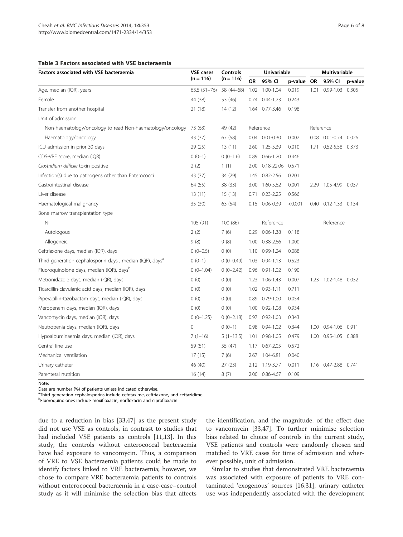#### Table 3 Factors associated with VSE bacteraemia

| <b>Factors associated with VSE bacteraemia</b>                       | <b>VSE cases</b><br>$(n = 116)$ | Controls    | Univariable |                |         | Multivariable |                      |         |
|----------------------------------------------------------------------|---------------------------------|-------------|-------------|----------------|---------|---------------|----------------------|---------|
|                                                                      |                                 | $(n = 116)$ | <b>OR</b>   | 95% CI         | p-value | OR            | 95% CI               | p-value |
| Age, median (IQR), years                                             | $63.5(51-76)$                   | 58 (44-68)  | 1.02        | 1.00-1.04      | 0.019   | 1.01          | $0.99 - 1.03$        | 0.305   |
| Female                                                               | 44 (38)                         | 53 (46)     | 0.74        | $0.44 - 1.23$  | 0.243   |               |                      |         |
| Transfer from another hospital                                       | 21(18)                          | 14(12)      | 1.64        | $0.77 - 3.46$  | 0.198   |               |                      |         |
| Unit of admission                                                    |                                 |             |             |                |         |               |                      |         |
| Non-haematology/oncology to read Non-haematology/oncology            | 73 (63)                         | 49 (42)     | Reference   |                |         | Reference     |                      |         |
| Haematology/oncology                                                 | 43 (37)                         | 67 (58)     | 0.04        | $0.01 - 0.30$  | 0.002   | 0.08          | $0.01 - 0.74$ 0.026  |         |
| ICU admission in prior 30 days                                       | 29 (25)                         | 13(11)      |             | 2.60 1.25-5.39 | 0.010   | 1.71          | 0.52-5.58 0.373      |         |
| CDS-VRE score, median (IQR)                                          | $0(0-1)$                        | $0(0-1.6)$  | 0.89        | $0.66 - 1.20$  | 0.446   |               |                      |         |
| Clostridium difficile toxin positive                                 | 2(2)                            | 1(1)        | 2.00        | 0.18-22.06     | 0.571   |               |                      |         |
| Infection(s) due to pathogens other than Enterococci                 | 43 (37)                         | 34 (29)     | 1.45        | 0.82-2.56      | 0.201   |               |                      |         |
| Gastrointestinal disease                                             | 64 (55)                         | 38 (33)     | 3.00        | 1.60-5.62      | 0.001   | 2.29          | 1.05-4.99 0.037      |         |
| Liver disease                                                        | 13(11)                          | 15(13)      | 0.71        | $0.23 - 2.25$  | 0.566   |               |                      |         |
| Haematological malignancy                                            | 35 (30)                         | 63 (54)     |             | 0.15 0.06-0.39 | < 0.001 |               | 0.40 0.12-1.33 0.134 |         |
| Bone marrow transplantation type                                     |                                 |             |             |                |         |               |                      |         |
| Nil                                                                  | 105 (91)                        | 100 (86)    |             | Reference      |         |               | Reference            |         |
| Autologous                                                           | 2(2)                            | 7(6)        | 0.29        | $0.06 - 1.38$  | 0.118   |               |                      |         |
| Allogeneic                                                           | 9(8)                            | 9(8)        | 1.00        | $0.38 - 2.66$  | 1.000   |               |                      |         |
| Ceftriaxone days, median (IQR), days                                 | $0(0-0.5)$                      | 0(0)        | 1.10        | $0.99 - 1.24$  | 0.088   |               |                      |         |
| Third generation cephalosporin days, median (IQR), days <sup>a</sup> | $0(0-1)$                        | $0(0-0.49)$ | 1.03        | $0.94 - 1.13$  | 0.523   |               |                      |         |
| Fluoroquinolone days, median (IQR), days <sup>b</sup>                | $0(0-1.04)$                     | $0(0-2.42)$ |             | 0.96 0.91-1.02 | 0.190   |               |                      |         |
| Metronidazole days, median (IQR), days                               | 0(0)                            | 0(0)        | 1.23        | 1.06-1.43      | 0.007   | 1.23          | 1.02-1.48 0.032      |         |
| Ticarcillin-clavulanic acid days, median (IQR), days                 | 0(0)                            | 0(0)        | 1.02        | $0.93 - 1.11$  | 0.711   |               |                      |         |
| Piperacillin-tazobactam days, median (IQR), days                     | 0(0)                            | 0(0)        |             | 0.89 0.79-1.00 | 0.054   |               |                      |         |
| Meropenem days, median (IQR), days                                   | 0(0)                            | 0(0)        | 1.00        | $0.92 - 1.08$  | 0.934   |               |                      |         |
| Vancomycin days, median (IQR), days                                  | $0(0-1.25)$                     | $0(0-2.18)$ | 0.97        | $0.92 - 1.03$  | 0.343   |               |                      |         |
| Neutropenia days, median (IQR), days                                 | 0                               | $0(0-1)$    | 0.98        | 0.94-1.02      | 0.344   | 1.00          | 0.94-1.06 0.911      |         |
| Hypoalbuminaemia days, median (IQR), days                            | $7(1-16)$                       | $5(1-13.5)$ | 1.01        | $0.98 - 1.05$  | 0.479   | 1.00          | 0.95-1.05 0.888      |         |

Urinary catheter 1980 1000 1000 10000 10000 10000 10000 10000 10000 10000 10000 10000 10000 10000 10000 10000 1

Parenteral nutrition 16 (14) 8 (7) 2.00 0.86-4.67 0.109 Note:

Data are number (%) of patients unless indicated otherwise.

<sup>a</sup>Third generation cephalosporins include cefotaxime, ceftriaxone, and ceftazidime.

Central line use 59 (51) 55 (47) 1.17 0.67-2.05 0.572 Mechanical ventilation 17 (15) 7 (6) 2.67 1.04-6.81 0.040

<sup>b</sup>Fluoroquinolones include moxifloxacin, norfloxacin and ciprofloxacin.

due to a reduction in bias [33,47] as the present study did not use VSE as controls, in contrast to studies that had included VSE patients as controls [11,13]. In this study, the controls without enterococcal bacteraemia have had exposure to vancomycin. Thus, a comparison of VRE to VSE bacteraemia patients could be made to identify factors linked to VRE bacteraemia; however, we chose to compare VRE bacteraemia patients to controls without enterococcal bacteraemia in a case-case–control study as it will minimise the selection bias that affects the identification, and the magnitude, of the effect due to vancomycin [33,47]. To further minimise selection bias related to choice of controls in the current study, VSE patients and controls were randomly chosen and matched to VRE cases for time of admission and wherever possible, unit of admission.

Similar to studies that demonstrated VRE bacteraemia was associated with exposure of patients to VRE contaminated 'exogenous' sources [16,31], urinary catheter use was independently associated with the development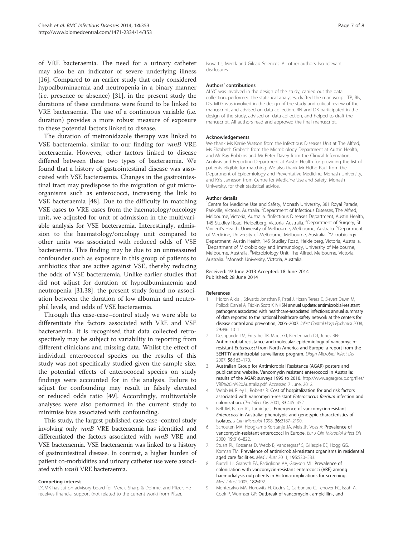of VRE bacteraemia. The need for a urinary catheter may also be an indicator of severe underlying illness [16]. Compared to an earlier study that only considered hypoalbuminaemia and neutropenia in a binary manner (i.e. presence or absence) [31], in the present study the durations of these conditions were found to be linked to VRE bacteraemia. The use of a continuous variable (i.e. duration) provides a more robust measure of exposure to these potential factors linked to disease.

The duration of metronidazole therapy was linked to VSE bacteraemia, similar to our finding for vanB VRE bacteraemia. However, other factors linked to disease differed between these two types of bacteraemia. We found that a history of gastrointestinal disease was associated with VSE bacteraemia. Changes in the gastrointestinal tract may predispose to the migration of gut microorganisms such as enterococci, increasing the link to VSE bacteraemia [48]. Due to the difficulty in matching VSE cases to VRE cases from the haematology/oncology unit, we adjusted for unit of admission in the multivariable analysis for VSE bacteraemia. Interestingly, admission to the haematology/oncology unit compared to other units was associated with reduced odds of VSE bacteraemia. This finding may be due to an unmeasured confounder such as exposure in this group of patients to antibiotics that are active against VSE, thereby reducing the odds of VSE bacteraemia. Unlike earlier studies that did not adjust for duration of hypoalbuminaemia and neutropenia [31,38], the present study found no association between the duration of low albumin and neutrophil levels, and odds of VSE bacteraemia.

Through this case-case–control study we were able to differentiate the factors associated with VRE and VSE bacteraemia. It is recognised that data collected retrospectively may be subject to variability in reporting from different clinicians and missing data. Whilst the effect of individual enterococcal species on the results of this study was not specifically studied given the sample size, the potential effects of enterococcal species on study findings were accounted for in the analysis. Failure to adjust for confounding may result in falsely elevated or reduced odds ratio [49]. Accordingly, multivariable analyses were also performed in the current study to minimise bias associated with confounding.

This study, the largest published case-case–control study involving only vanB VRE bacteraemia has identified and differentiated the factors associated with vanB VRE and VSE bacteraemia. VSE bacteraemia was linked to a history of gastrointestinal disease. In contrast, a higher burden of patient co-morbidities and urinary catheter use were associated with vanB VRE bacteraemia.

#### Competing interest

DCMK has sat on advisory board for Merck, Sharp & Dohme, and Pfizer. He receives financial support (not related to the current work) from Pfizer,

Novartis, Merck and Gilead Sciences. All other authors: No relevant disclosures.

#### Authors' contributions

ALYC was involved in the design of the study, carried out the data collection, performed the statistical analyses, drafted the manuscript. TP, BN, DS, MLG was involved in the design of the study and critical review of the manuscript, and advised on data collection. RN and DK participated in the design of the study, advised on data collection, and helped to draft the manuscript. All authors read and approved the final manuscript.

#### Acknowledgements

We thank Ms Kerrie Watson from the Infectious Diseases Unit at The Alfred, Ms Elizabeth Grabsch from the Microbiology Department at Austin Health, and Mr Ray Robbins and Mr Peter Davey from the Clinical Information, Analysis and Reporting Department at Austin Health for providing the list of patients eligible for matching. We also thank Mr Eldho Paul from the Department of Epidemiology and Preventative Medicine, Monash University, and Kris Jameson from Centre for Medicine Use and Safety, Monash University, for their statistical advice.

#### Author details

<sup>1</sup> Centre for Medicine Use and Safety, Monash University, 381 Royal Parade, Parkville, Victoria, Australia. <sup>2</sup>Department of Infectious Diseases, The Alfred Melbourne, Victoria, Australia. <sup>3</sup>Infectious Diseases Department, Austin Health 145 Studley Road, Heidelberg, Victoria, Australia. <sup>4</sup>Department of Surgery, St Vincent's Health, University of Melbourne, Melbourne, Australia. <sup>5</sup>Department of Medicine, University of Melbourne, Melbourne, Australia. <sup>6</sup>Microbiology Department, Austin Health, 145 Studley Road, Heidelberg, Victoria, Australia. <sup>7</sup>Department of Microbiology and Immunology, University of Melbourne Melbourne, Australia. <sup>8</sup>Microbiology Unit, The Alfred, Melbourne, Victoria, Australia. <sup>9</sup> Monash University, Victoria, Australia.

#### Received: 19 June 2013 Accepted: 18 June 2014 Published: 28 June 2014

#### References

- 1. Hidron Alicia I, Edwards Jonathan R, Patel J, Horan Teresa C, Sievert Dawn M, Pollock Daniel A, Fridkin Scott K: NHSN annual update: antimicrobial-resistant pathogens associated with healthcare-associated infections: annual summary of data reported to the national healthcare safety network at the centers for disease control and prevention, 2006–2007. Infect Control Hosp Epidemiol 2008, 29:996–1011.
- 2. Deshpande LM, Fritsche TR, Moet GJ, Biedenbach DJ, Jones RN: Antimicrobial resistance and molecular epidemiology of vancomycinresistant Enterococci from North America and Europe: a report from the SENTRY antimicrobial surveillance program. Diagn Microbiol Infect Dis 2007, 58:163–170.
- 3. Australian Group for Antimicrobial Resistance (AGAR) posters and publications website. Vancomycin resistant enterococci in Australia: results of the AGAR surveys 1995 to 2010. http://www.agargroup.org/files/ VRE%20in%20Australia.pdf. Accessed 7 June, 2012.
- 4. Webb M, Riley L, Roberts R: Cost of hospitalization for and risk factors associated with vancomycin-resistant Enterococcus faecium infection and colonization. Clin Infect Dis 2001, 33:445–452.
- 5. Bell JM, Paton JC, Turnidge J: Emergence of vancomycin-resistant Enterococci in Australia: phenotypic and genotypic characteristics of isolates. J Clin Microbiol 1998, 36:2187–2190.
- 6. Schouten MA, Hoogkamp-Korstanje JA, Meis JF, Voss A: Prevalence of vancomycin-resistant enterococci in Europe. Eur J Clin Microbiol Infect Dis 2000, 19:816–822.
- Stuart RL, Kotsanas D, Webb B, Vandergraaf S, Gillespie EE, Hogg GG, Korman TM: Prevalence of antimicrobial-resistant organisms in residential aged care facilities. Med J Aust 2011, 195:530-533.
- 8. Burrell LJ, Grabsch EA, Padiglione AA, Grayson ML: Prevalence of colonisation with vancomycin-resistant enterococci (VRE) among haemodialysis outpatients in Victoria: implications for screening. Med J Aust 2005, 182:492.
- 9. Montecalvo MA, Horowitz H, Gedris C, Carbonaro C, Tenover FC, Issah A, Cook P, Wormser GP: Outbreak of vancomycin-, ampicillin-, and